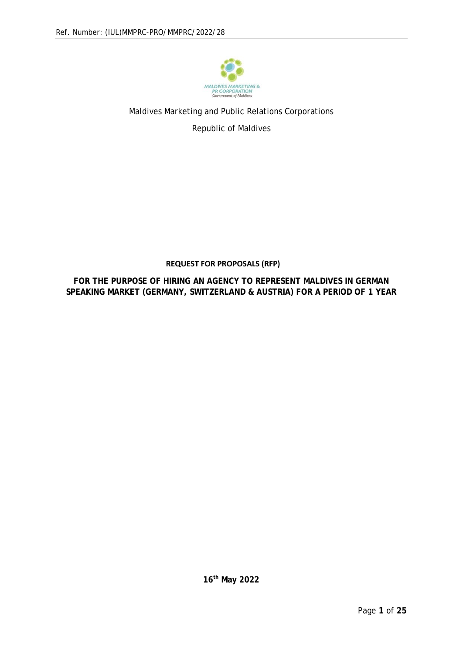

## Maldives Marketing and Public Relations Corporations Republic of Maldives

## **REQUEST FOR PROPOSALS (RFP)**

**FOR THE PURPOSE OF HIRING AN AGENCY TO REPRESENT MALDIVES IN GERMAN SPEAKING MARKET (GERMANY, SWITZERLAND & AUSTRIA) FOR A PERIOD OF 1 YEAR**

**16th May 2022**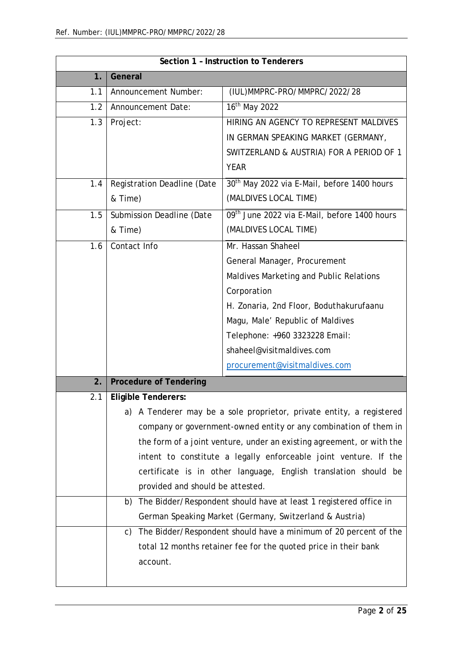| Section 1 - Instruction to Tenderers |                                                                       |                                                                      |
|--------------------------------------|-----------------------------------------------------------------------|----------------------------------------------------------------------|
| 1.                                   | General                                                               |                                                                      |
| 1.1                                  | Announcement Number:                                                  | (IUL)MMPRC-PRO/MMPRC/2022/28                                         |
| 1.2                                  | <b>Announcement Date:</b>                                             | 16 <sup>th</sup> May 2022                                            |
| 1.3                                  | Project:                                                              | HIRING AN AGENCY TO REPRESENT MALDIVES                               |
|                                      |                                                                       | IN GERMAN SPEAKING MARKET (GERMANY,                                  |
|                                      |                                                                       | SWITZERLAND & AUSTRIA) FOR A PERIOD OF 1                             |
|                                      |                                                                       | <b>YEAR</b>                                                          |
| 1.4                                  | Registration Deadline (Date                                           | 30 <sup>th</sup> May 2022 via E-Mail, before 1400 hours              |
|                                      | & Time)                                                               | (MALDIVES LOCAL TIME)                                                |
| 1.5                                  | Submission Deadline (Date                                             | 09th June 2022 via E-Mail, before 1400 hours                         |
|                                      | & Time)                                                               | (MALDIVES LOCAL TIME)                                                |
| 1.6                                  | Contact Info                                                          | Mr. Hassan Shaheel                                                   |
|                                      |                                                                       | General Manager, Procurement                                         |
|                                      |                                                                       | Maldives Marketing and Public Relations                              |
|                                      |                                                                       | Corporation                                                          |
|                                      |                                                                       | H. Zonaria, 2nd Floor, Boduthakurufaanu                              |
|                                      |                                                                       | Magu, Male' Republic of Maldives                                     |
|                                      |                                                                       | Telephone: +960 3323228 Email:                                       |
|                                      |                                                                       | shaheel@visitmaldives.com                                            |
|                                      |                                                                       | procurement@visitmaldives.com                                        |
| 2.                                   | <b>Procedure of Tendering</b>                                         |                                                                      |
| 2.1                                  | <b>Eligible Tenderers:</b>                                            |                                                                      |
|                                      |                                                                       | a) A Tenderer may be a sole proprietor, private entity, a registered |
|                                      |                                                                       | company or government-owned entity or any combination of them in     |
|                                      | the form of a joint venture, under an existing agreement, or with the |                                                                      |
|                                      |                                                                       | intent to constitute a legally enforceable joint venture. If the     |
|                                      |                                                                       | certificate is in other language, English translation should be      |
|                                      | provided and should be attested.                                      |                                                                      |
|                                      |                                                                       | b) The Bidder/Respondent should have at least 1 registered office in |
|                                      |                                                                       | German Speaking Market (Germany, Switzerland & Austria)              |
|                                      | C)                                                                    | The Bidder/Respondent should have a minimum of 20 percent of the     |
|                                      |                                                                       | total 12 months retainer fee for the quoted price in their bank      |
|                                      | account.                                                              |                                                                      |
|                                      |                                                                       |                                                                      |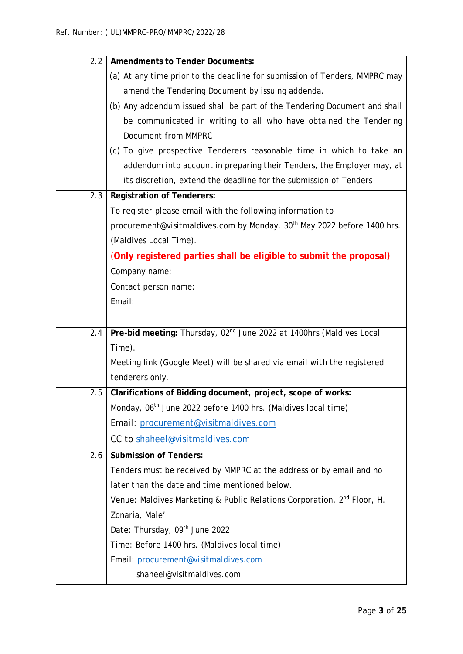| 2.2 | <b>Amendments to Tender Documents:</b>                                              |
|-----|-------------------------------------------------------------------------------------|
|     | (a) At any time prior to the deadline for submission of Tenders, MMPRC may          |
|     | amend the Tendering Document by issuing addenda.                                    |
|     | (b) Any addendum issued shall be part of the Tendering Document and shall           |
|     | be communicated in writing to all who have obtained the Tendering                   |
|     | Document from MMPRC                                                                 |
|     | (c) To give prospective Tenderers reasonable time in which to take an               |
|     | addendum into account in preparing their Tenders, the Employer may, at              |
|     | its discretion, extend the deadline for the submission of Tenders                   |
| 2.3 | <b>Registration of Tenderers:</b>                                                   |
|     | To register please email with the following information to                          |
|     | procurement@visitmaldives.com by Monday, 30 <sup>th</sup> May 2022 before 1400 hrs. |
|     | (Maldives Local Time).                                                              |
|     | (Only registered parties shall be eligible to submit the proposal)                  |
|     | Company name:                                                                       |
|     | Contact person name:                                                                |
|     | Email:                                                                              |
|     |                                                                                     |
| 2.4 | Pre-bid meeting: Thursday, 02 <sup>nd</sup> June 2022 at 1400hrs (Maldives Local    |
|     | Time).                                                                              |
|     | Meeting link (Google Meet) will be shared via email with the registered             |
|     | tenderers only.                                                                     |
| 2.5 | Clarifications of Bidding document, project, scope of works:                        |
|     | Monday, 06 <sup>th</sup> June 2022 before 1400 hrs. (Maldives local time)           |
|     | Email: procurement@visitmaldives.com                                                |
|     | CC to shaheel@visitmaldives.com                                                     |
| 2.6 | <b>Submission of Tenders:</b>                                                       |
|     | Tenders must be received by MMPRC at the address or by email and no                 |
|     | later than the date and time mentioned below.                                       |
|     | Venue: Maldives Marketing & Public Relations Corporation, 2 <sup>nd</sup> Floor, H. |
|     | Zonaria, Male'                                                                      |
|     | Date: Thursday, 09th June 2022                                                      |
|     | Time: Before 1400 hrs. (Maldives local time)                                        |
|     | Email: procurement@visitmaldives.com                                                |
|     | shaheel@visitmaldives.com                                                           |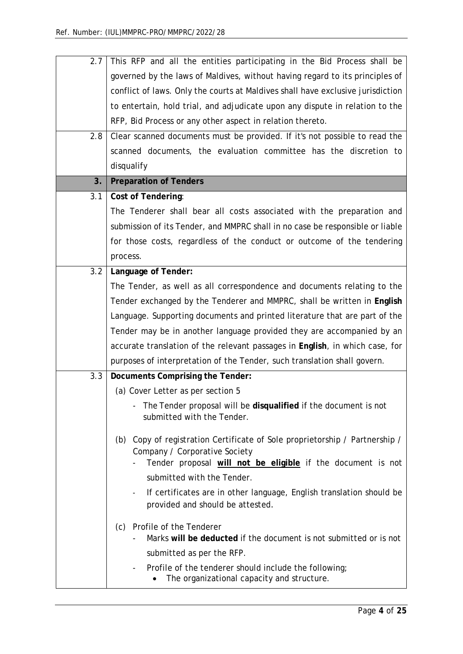| 2.7 | This RFP and all the entities participating in the Bid Process shall be                                  |
|-----|----------------------------------------------------------------------------------------------------------|
|     | governed by the laws of Maldives, without having regard to its principles of                             |
|     | conflict of laws. Only the courts at Maldives shall have exclusive jurisdiction                          |
|     | to entertain, hold trial, and adjudicate upon any dispute in relation to the                             |
|     | RFP, Bid Process or any other aspect in relation thereto.                                                |
| 2.8 | Clear scanned documents must be provided. If it's not possible to read the                               |
|     | scanned documents, the evaluation committee has the discretion to                                        |
|     | disqualify                                                                                               |
| 3.  | <b>Preparation of Tenders</b>                                                                            |
| 3.1 | <b>Cost of Tendering:</b>                                                                                |
|     | The Tenderer shall bear all costs associated with the preparation and                                    |
|     | submission of its Tender, and MMPRC shall in no case be responsible or liable                            |
|     | for those costs, regardless of the conduct or outcome of the tendering                                   |
|     | process.                                                                                                 |
| 3.2 | Language of Tender:                                                                                      |
|     | The Tender, as well as all correspondence and documents relating to the                                  |
|     | Tender exchanged by the Tenderer and MMPRC, shall be written in English                                  |
|     | Language. Supporting documents and printed literature that are part of the                               |
|     | Tender may be in another language provided they are accompanied by an                                    |
|     | accurate translation of the relevant passages in English, in which case, for                             |
|     | purposes of interpretation of the Tender, such translation shall govern.                                 |
| 3.3 | <b>Documents Comprising the Tender:</b>                                                                  |
|     | (a) Cover Letter as per section 5                                                                        |
|     | The Tender proposal will be disqualified if the document is not                                          |
|     | submitted with the Tender.                                                                               |
|     | Copy of registration Certificate of Sole proprietorship / Partnership /<br>(b)                           |
|     | Company / Corporative Society                                                                            |
|     | Tender proposal will not be eligible if the document is not                                              |
|     | submitted with the Tender.                                                                               |
|     | If certificates are in other language, English translation should be<br>provided and should be attested. |
|     | Profile of the Tenderer<br>(c)                                                                           |
|     | Marks will be deducted if the document is not submitted or is not                                        |
|     | submitted as per the RFP.                                                                                |
|     | Profile of the tenderer should include the following;<br>The organizational capacity and structure.      |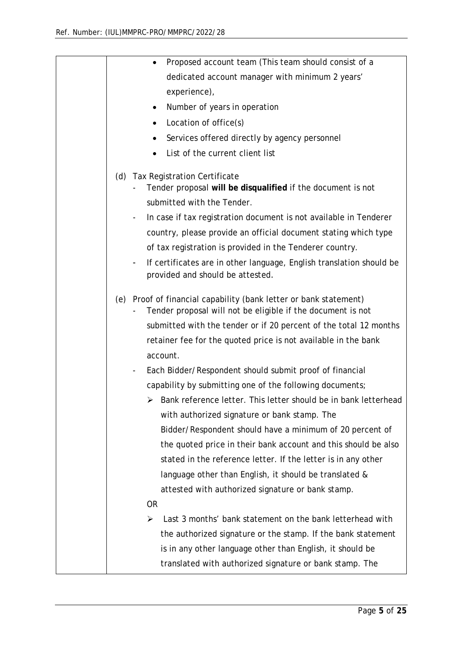| Proposed account team (This team should consist of a                                                                                     |
|------------------------------------------------------------------------------------------------------------------------------------------|
| dedicated account manager with minimum 2 years'                                                                                          |
| experience),                                                                                                                             |
| Number of years in operation                                                                                                             |
| Location of office(s)                                                                                                                    |
| Services offered directly by agency personnel                                                                                            |
| List of the current client list                                                                                                          |
| (d) Tax Registration Certificate<br>Tender proposal will be disqualified if the document is not<br>submitted with the Tender.            |
| In case if tax registration document is not available in Tenderer<br>$\qquad \qquad -$                                                   |
| country, please provide an official document stating which type                                                                          |
| of tax registration is provided in the Tenderer country.                                                                                 |
| If certificates are in other language, English translation should be<br>$\qquad \qquad \blacksquare$<br>provided and should be attested. |
| (e) Proof of financial capability (bank letter or bank statement)<br>Tender proposal will not be eligible if the document is not         |
| submitted with the tender or if 20 percent of the total 12 months                                                                        |
| retainer fee for the quoted price is not available in the bank<br>account.                                                               |
| Each Bidder/Respondent should submit proof of financial<br>$\overline{\phantom{a}}$                                                      |
| capability by submitting one of the following documents;                                                                                 |
| $\triangleright$ Bank reference letter. This letter should be in bank letterhead                                                         |
| with authorized signature or bank stamp. The                                                                                             |
| Bidder/Respondent should have a minimum of 20 percent of                                                                                 |
| the quoted price in their bank account and this should be also                                                                           |
| stated in the reference letter. If the letter is in any other                                                                            |
| language other than English, it should be translated &                                                                                   |
| attested with authorized signature or bank stamp.                                                                                        |
| <b>OR</b>                                                                                                                                |
| Last 3 months' bank statement on the bank letterhead with<br>≻                                                                           |
| the authorized signature or the stamp. If the bank statement                                                                             |
| is in any other language other than English, it should be                                                                                |
| translated with authorized signature or bank stamp. The                                                                                  |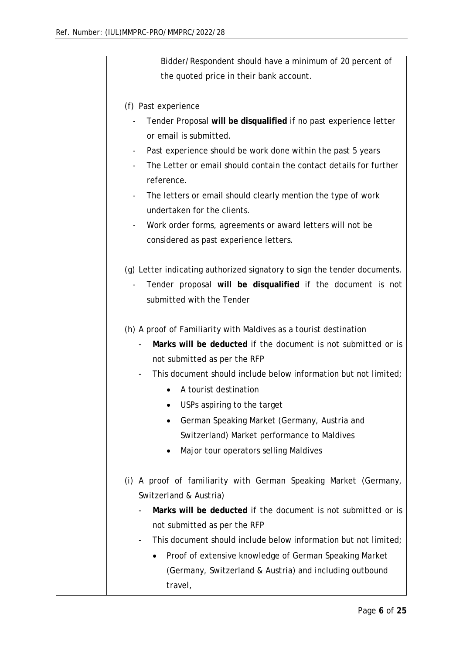| Bidder/Respondent should have a minimum of 20 percent of                              |
|---------------------------------------------------------------------------------------|
| the quoted price in their bank account.                                               |
|                                                                                       |
| (f) Past experience                                                                   |
| Tender Proposal will be disqualified if no past experience letter                     |
| or email is submitted.                                                                |
| Past experience should be work done within the past 5 years                           |
| The Letter or email should contain the contact details for further                    |
| reference.                                                                            |
| The letters or email should clearly mention the type of work<br>$\blacksquare$        |
| undertaken for the clients.                                                           |
| Work order forms, agreements or award letters will not be<br>$\overline{\phantom{0}}$ |
| considered as past experience letters.                                                |
|                                                                                       |
| (g) Letter indicating authorized signatory to sign the tender documents.              |
| Tender proposal will be disqualified if the document is not                           |
| submitted with the Tender                                                             |
|                                                                                       |
| (h) A proof of Familiarity with Maldives as a tourist destination                     |
| Marks will be deducted if the document is not submitted or is                         |
| not submitted as per the RFP                                                          |
| This document should include below information but not limited;                       |
| A tourist destination                                                                 |
| USPs aspiring to the target                                                           |
| German Speaking Market (Germany, Austria and                                          |
| Switzerland) Market performance to Maldives                                           |
| Major tour operators selling Maldives                                                 |
|                                                                                       |
| (i) A proof of familiarity with German Speaking Market (Germany,                      |
| Switzerland & Austria)                                                                |
| Marks will be deducted if the document is not submitted or is                         |
| not submitted as per the RFP                                                          |
| This document should include below information but not limited;                       |
| Proof of extensive knowledge of German Speaking Market                                |
| (Germany, Switzerland & Austria) and including outbound                               |
| travel,                                                                               |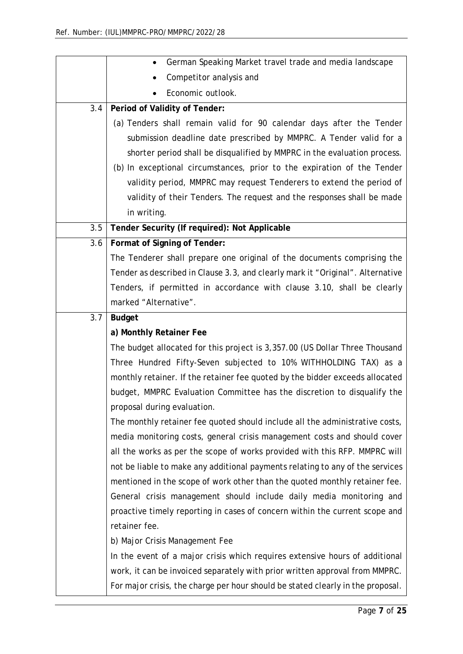|     | German Speaking Market travel trade and media landscape                        |
|-----|--------------------------------------------------------------------------------|
|     | Competitor analysis and                                                        |
|     | Economic outlook.                                                              |
| 3.4 | Period of Validity of Tender:                                                  |
|     | (a) Tenders shall remain valid for 90 calendar days after the Tender           |
|     | submission deadline date prescribed by MMPRC. A Tender valid for a             |
|     | shorter period shall be disqualified by MMPRC in the evaluation process.       |
|     | (b) In exceptional circumstances, prior to the expiration of the Tender        |
|     | validity period, MMPRC may request Tenderers to extend the period of           |
|     | validity of their Tenders. The request and the responses shall be made         |
|     | in writing.                                                                    |
| 3.5 | Tender Security (If required): Not Applicable                                  |
| 3.6 | Format of Signing of Tender:                                                   |
|     | The Tenderer shall prepare one original of the documents comprising the        |
|     | Tender as described in Clause 3.3, and clearly mark it "Original". Alternative |
|     | Tenders, if permitted in accordance with clause 3.10, shall be clearly         |
|     | marked "Alternative".                                                          |
| 3.7 | <b>Budget</b>                                                                  |
|     | a) Monthly Retainer Fee                                                        |
|     | The budget allocated for this project is 3,357.00 (US Dollar Three Thousand    |
|     | Three Hundred Fifty-Seven subjected to 10% WITHHOLDING TAX) as a               |
|     | monthly retainer. If the retainer fee quoted by the bidder exceeds allocated   |
|     | budget, MMPRC Evaluation Committee has the discretion to disqualify the        |
|     | proposal during evaluation.                                                    |
|     | The monthly retainer fee quoted should include all the administrative costs,   |
|     | media monitoring costs, general crisis management costs and should cover       |
|     | all the works as per the scope of works provided with this RFP. MMPRC will     |
|     | not be liable to make any additional payments relating to any of the services  |
|     | mentioned in the scope of work other than the quoted monthly retainer fee.     |
|     | General crisis management should include daily media monitoring and            |
|     | proactive timely reporting in cases of concern within the current scope and    |
|     | retainer fee.                                                                  |
|     | b) Major Crisis Management Fee                                                 |
|     | In the event of a major crisis which requires extensive hours of additional    |
|     |                                                                                |
|     | work, it can be invoiced separately with prior written approval from MMPRC.    |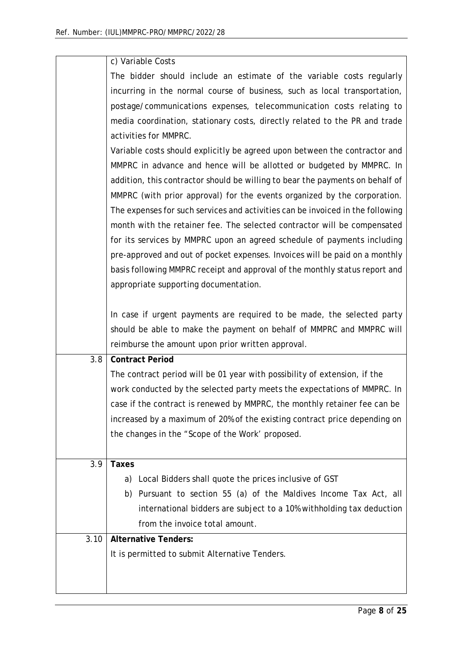|      | c) Variable Costs                                                              |
|------|--------------------------------------------------------------------------------|
|      | The bidder should include an estimate of the variable costs regularly          |
|      | incurring in the normal course of business, such as local transportation,      |
|      | postage/communications expenses, telecommunication costs relating to           |
|      | media coordination, stationary costs, directly related to the PR and trade     |
|      | activities for MMPRC.                                                          |
|      | Variable costs should explicitly be agreed upon between the contractor and     |
|      | MMPRC in advance and hence will be allotted or budgeted by MMPRC. In           |
|      | addition, this contractor should be willing to bear the payments on behalf of  |
|      | MMPRC (with prior approval) for the events organized by the corporation.       |
|      | The expenses for such services and activities can be invoiced in the following |
|      | month with the retainer fee. The selected contractor will be compensated       |
|      | for its services by MMPRC upon an agreed schedule of payments including        |
|      | pre-approved and out of pocket expenses. Invoices will be paid on a monthly    |
|      | basis following MMPRC receipt and approval of the monthly status report and    |
|      | appropriate supporting documentation.                                          |
|      |                                                                                |
|      | In case if urgent payments are required to be made, the selected party         |
|      | should be able to make the payment on behalf of MMPRC and MMPRC will           |
|      | reimburse the amount upon prior written approval.                              |
| 3.8  | <b>Contract Period</b>                                                         |
|      | The contract period will be 01 year with possibility of extension, if the      |
|      | work conducted by the selected party meets the expectations of MMPRC. In       |
|      | case if the contract is renewed by MMPRC, the monthly retainer fee can be      |
|      | increased by a maximum of 20% of the existing contract price depending on      |
|      | the changes in the "Scope of the Work' proposed.                               |
|      |                                                                                |
| 3.9  | <b>Taxes</b>                                                                   |
|      | a) Local Bidders shall quote the prices inclusive of GST                       |
|      | b) Pursuant to section 55 (a) of the Maldives Income Tax Act, all              |
|      | international bidders are subject to a 10% withholding tax deduction           |
|      | from the invoice total amount.                                                 |
| 3.10 | <b>Alternative Tenders:</b>                                                    |
|      | It is permitted to submit Alternative Tenders.                                 |
|      |                                                                                |
|      |                                                                                |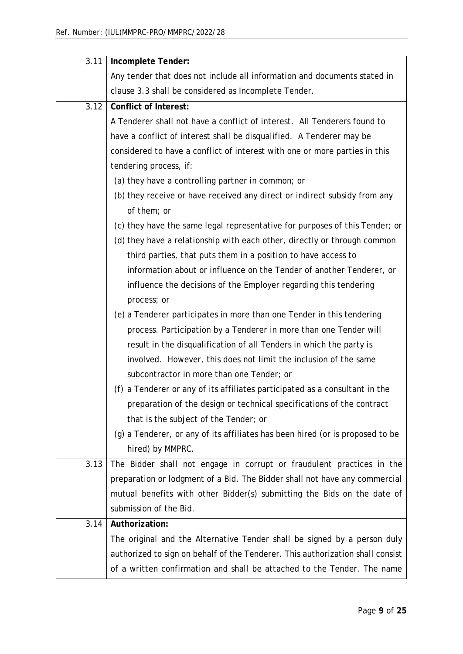| 3.11 | Incomplete Tender:                                                             |
|------|--------------------------------------------------------------------------------|
|      | Any tender that does not include all information and documents stated in       |
|      | clause 3.3 shall be considered as Incomplete Tender.                           |
| 3.12 | <b>Conflict of Interest:</b>                                                   |
|      | A Tenderer shall not have a conflict of interest. All Tenderers found to       |
|      | have a conflict of interest shall be disqualified. A Tenderer may be           |
|      | considered to have a conflict of interest with one or more parties in this     |
|      | tendering process, if:                                                         |
|      | (a) they have a controlling partner in common; or                              |
|      | (b) they receive or have received any direct or indirect subsidy from any      |
|      | of them; or                                                                    |
|      | (c) they have the same legal representative for purposes of this Tender; or    |
|      | (d) they have a relationship with each other, directly or through common       |
|      | third parties, that puts them in a position to have access to                  |
|      | information about or influence on the Tender of another Tenderer, or           |
|      | influence the decisions of the Employer regarding this tendering               |
|      | process; or                                                                    |
|      | (e) a Tenderer participates in more than one Tender in this tendering          |
|      | process. Participation by a Tenderer in more than one Tender will              |
|      | result in the disqualification of all Tenders in which the party is            |
|      | involved. However, this does not limit the inclusion of the same               |
|      | subcontractor in more than one Tender; or                                      |
|      | (f) a Tenderer or any of its affiliates participated as a consultant in the    |
|      | preparation of the design or technical specifications of the contract          |
|      | that is the subject of the Tender; or                                          |
|      | (g) a Tenderer, or any of its affiliates has been hired (or is proposed to be  |
|      | hired) by MMPRC.                                                               |
| 3.13 | The Bidder shall not engage in corrupt or fraudulent practices in the          |
|      | preparation or lodgment of a Bid. The Bidder shall not have any commercial     |
|      | mutual benefits with other Bidder(s) submitting the Bids on the date of        |
|      | submission of the Bid.                                                         |
| 3.14 | Authorization:                                                                 |
|      | The original and the Alternative Tender shall be signed by a person duly       |
|      | authorized to sign on behalf of the Tenderer. This authorization shall consist |
|      | of a written confirmation and shall be attached to the Tender. The name        |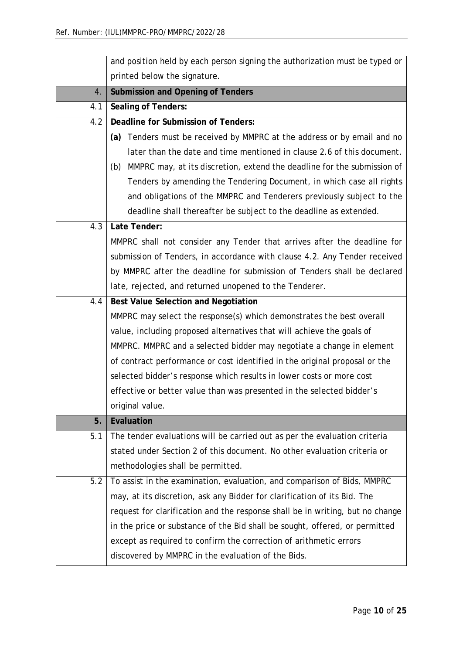|     | and position held by each person signing the authorization must be typed or   |  |
|-----|-------------------------------------------------------------------------------|--|
|     | printed below the signature.                                                  |  |
| 4.  | <b>Submission and Opening of Tenders</b>                                      |  |
| 4.1 | <b>Sealing of Tenders:</b>                                                    |  |
| 4.2 | <b>Deadline for Submission of Tenders:</b>                                    |  |
|     | Tenders must be received by MMPRC at the address or by email and no<br>(a)    |  |
|     | later than the date and time mentioned in clause 2.6 of this document.        |  |
|     | (b) MMPRC may, at its discretion, extend the deadline for the submission of   |  |
|     | Tenders by amending the Tendering Document, in which case all rights          |  |
|     | and obligations of the MMPRC and Tenderers previously subject to the          |  |
|     | deadline shall thereafter be subject to the deadline as extended.             |  |
| 4.3 | Late Tender:                                                                  |  |
|     | MMPRC shall not consider any Tender that arrives after the deadline for       |  |
|     | submission of Tenders, in accordance with clause 4.2. Any Tender received     |  |
|     | by MMPRC after the deadline for submission of Tenders shall be declared       |  |
|     | late, rejected, and returned unopened to the Tenderer.                        |  |
| 4.4 | Best Value Selection and Negotiation                                          |  |
|     | MMPRC may select the response(s) which demonstrates the best overall          |  |
|     | value, including proposed alternatives that will achieve the goals of         |  |
|     | MMPRC. MMPRC and a selected bidder may negotiate a change in element          |  |
|     | of contract performance or cost identified in the original proposal or the    |  |
|     | selected bidder's response which results in lower costs or more cost          |  |
|     | effective or better value than was presented in the selected bidder's         |  |
|     | original value.                                                               |  |
| 5.  | Evaluation                                                                    |  |
| 5.1 | The tender evaluations will be carried out as per the evaluation criteria     |  |
|     | stated under Section 2 of this document. No other evaluation criteria or      |  |
|     | methodologies shall be permitted.                                             |  |
| 5.2 | To assist in the examination, evaluation, and comparison of Bids, MMPRC       |  |
|     | may, at its discretion, ask any Bidder for clarification of its Bid. The      |  |
|     | request for clarification and the response shall be in writing, but no change |  |
|     | in the price or substance of the Bid shall be sought, offered, or permitted   |  |
|     | except as required to confirm the correction of arithmetic errors             |  |
|     | discovered by MMPRC in the evaluation of the Bids.                            |  |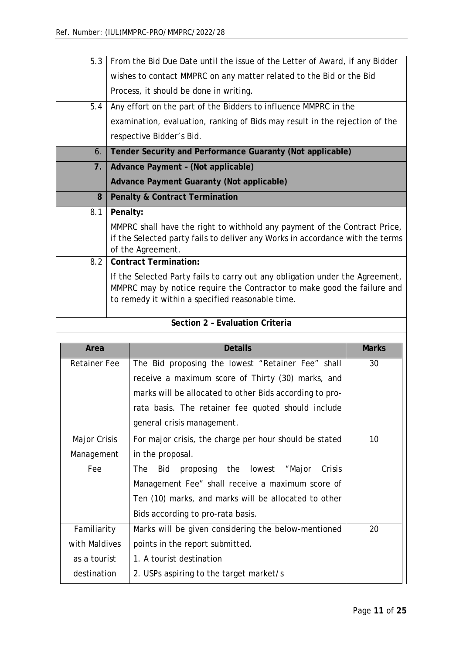| 5.3                 |          |                                                                                                                             |              |  |
|---------------------|----------|-----------------------------------------------------------------------------------------------------------------------------|--------------|--|
|                     |          | From the Bid Due Date until the issue of the Letter of Award, if any Bidder                                                 |              |  |
|                     |          | wishes to contact MMPRC on any matter related to the Bid or the Bid                                                         |              |  |
|                     |          | Process, it should be done in writing.                                                                                      |              |  |
| 5.4                 |          | Any effort on the part of the Bidders to influence MMPRC in the                                                             |              |  |
|                     |          | examination, evaluation, ranking of Bids may result in the rejection of the                                                 |              |  |
|                     |          | respective Bidder's Bid.                                                                                                    |              |  |
| 6.                  |          | Tender Security and Performance Guaranty (Not applicable)                                                                   |              |  |
| 7.1                 |          | Advance Payment - (Not applicable)                                                                                          |              |  |
|                     |          | Advance Payment Guaranty (Not applicable)                                                                                   |              |  |
| 8                   |          | <b>Penalty &amp; Contract Termination</b>                                                                                   |              |  |
| 8.1                 | Penalty: |                                                                                                                             |              |  |
|                     |          | MMPRC shall have the right to withhold any payment of the Contract Price,                                                   |              |  |
|                     |          | if the Selected party fails to deliver any Works in accordance with the terms<br>of the Agreement.                          |              |  |
| 8.2                 |          | <b>Contract Termination:</b>                                                                                                |              |  |
|                     |          | If the Selected Party fails to carry out any obligation under the Agreement,                                                |              |  |
|                     |          | MMPRC may by notice require the Contractor to make good the failure and<br>to remedy it within a specified reasonable time. |              |  |
|                     |          |                                                                                                                             |              |  |
|                     |          | Section 2 - Evaluation Criteria                                                                                             |              |  |
| Area                |          | <b>Details</b>                                                                                                              | <b>Marks</b> |  |
| <b>Retainer Fee</b> |          |                                                                                                                             |              |  |
|                     |          |                                                                                                                             |              |  |
|                     |          | The Bid proposing the lowest "Retainer Fee" shall                                                                           | 30           |  |
|                     |          | receive a maximum score of Thirty (30) marks, and                                                                           |              |  |
|                     |          | marks will be allocated to other Bids according to pro-                                                                     |              |  |
|                     |          | rata basis. The retainer fee quoted should include                                                                          |              |  |
|                     |          | general crisis management.                                                                                                  |              |  |
| Major Crisis        |          | For major crisis, the charge per hour should be stated                                                                      | 10           |  |
| Management          |          | in the proposal.                                                                                                            |              |  |
| Fee                 |          | the lowest<br><b>The</b><br>Bid<br>proposing<br>"Major<br>Crisis                                                            |              |  |
|                     |          | Management Fee" shall receive a maximum score of                                                                            |              |  |
|                     |          | Ten (10) marks, and marks will be allocated to other                                                                        |              |  |
|                     |          | Bids according to pro-rata basis.                                                                                           |              |  |
| Familiarity         |          | Marks will be given considering the below-mentioned                                                                         | 20           |  |
| with Maldives       |          | points in the report submitted.                                                                                             |              |  |
| as a tourist        |          | 1. A tourist destination                                                                                                    |              |  |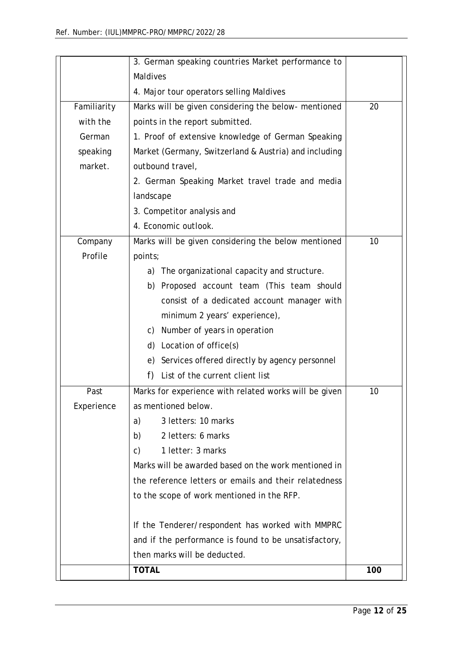|             | 3. German speaking countries Market performance to    |     |
|-------------|-------------------------------------------------------|-----|
|             | <b>Maldives</b>                                       |     |
|             | 4. Major tour operators selling Maldives              |     |
| Familiarity | Marks will be given considering the below- mentioned  | 20  |
| with the    | points in the report submitted.                       |     |
| German      | 1. Proof of extensive knowledge of German Speaking    |     |
| speaking    | Market (Germany, Switzerland & Austria) and including |     |
| market.     | outbound travel,                                      |     |
|             | 2. German Speaking Market travel trade and media      |     |
|             | landscape                                             |     |
|             | 3. Competitor analysis and                            |     |
|             | 4. Economic outlook.                                  |     |
| Company     | Marks will be given considering the below mentioned   | 10  |
| Profile     | points;                                               |     |
|             | The organizational capacity and structure.<br>a)      |     |
|             | Proposed account team (This team should<br>b)         |     |
|             | consist of a dedicated account manager with           |     |
|             | minimum 2 years' experience),                         |     |
|             | Number of years in operation<br>C)                    |     |
|             | d)<br>Location of office(s)                           |     |
|             | Services offered directly by agency personnel<br>e)   |     |
|             | f)<br>List of the current client list                 |     |
| Past        | Marks for experience with related works will be given | 10  |
| Experience  | as mentioned below.                                   |     |
|             | 3 letters: 10 marks<br>a)                             |     |
|             | 2 letters: 6 marks<br>b)                              |     |
|             | 1 letter: 3 marks<br>c)                               |     |
|             | Marks will be awarded based on the work mentioned in  |     |
|             | the reference letters or emails and their relatedness |     |
|             | to the scope of work mentioned in the RFP.            |     |
|             | If the Tenderer/respondent has worked with MMPRC      |     |
|             | and if the performance is found to be unsatisfactory, |     |
|             | then marks will be deducted.                          |     |
|             | <b>TOTAL</b>                                          | 100 |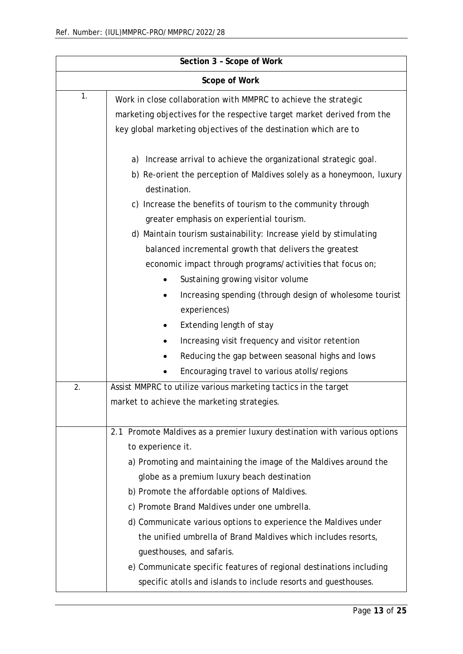| Section 3 - Scope of Work |                                                                           |  |
|---------------------------|---------------------------------------------------------------------------|--|
| Scope of Work             |                                                                           |  |
| 1.                        | Work in close collaboration with MMPRC to achieve the strategic           |  |
|                           | marketing objectives for the respective target market derived from the    |  |
|                           | key global marketing objectives of the destination which are to           |  |
|                           | Increase arrival to achieve the organizational strategic goal.<br>a)      |  |
|                           | b) Re-orient the perception of Maldives solely as a honeymoon, luxury     |  |
|                           | destination.                                                              |  |
|                           | Increase the benefits of tourism to the community through<br>C)           |  |
|                           | greater emphasis on experiential tourism.                                 |  |
|                           | d) Maintain tourism sustainability: Increase yield by stimulating         |  |
|                           | balanced incremental growth that delivers the greatest                    |  |
|                           | economic impact through programs/activities that focus on;                |  |
|                           | Sustaining growing visitor volume<br>$\bullet$                            |  |
|                           | Increasing spending (through design of wholesome tourist                  |  |
|                           | experiences)                                                              |  |
|                           | Extending length of stay                                                  |  |
|                           | Increasing visit frequency and visitor retention                          |  |
|                           | Reducing the gap between seasonal highs and lows                          |  |
|                           | Encouraging travel to various atolls/regions                              |  |
| 2.                        | Assist MMPRC to utilize various marketing tactics in the target           |  |
|                           | market to achieve the marketing strategies.                               |  |
|                           |                                                                           |  |
|                           | 2.1 Promote Maldives as a premier luxury destination with various options |  |
|                           | to experience it.                                                         |  |
|                           | a) Promoting and maintaining the image of the Maldives around the         |  |
|                           | globe as a premium luxury beach destination                               |  |
|                           | b) Promote the affordable options of Maldives.                            |  |
|                           | c) Promote Brand Maldives under one umbrella.                             |  |
|                           | d) Communicate various options to experience the Maldives under           |  |
|                           | the unified umbrella of Brand Maldives which includes resorts,            |  |
|                           | guesthouses, and safaris.                                                 |  |
|                           | e) Communicate specific features of regional destinations including       |  |
|                           | specific atolls and islands to include resorts and guesthouses.           |  |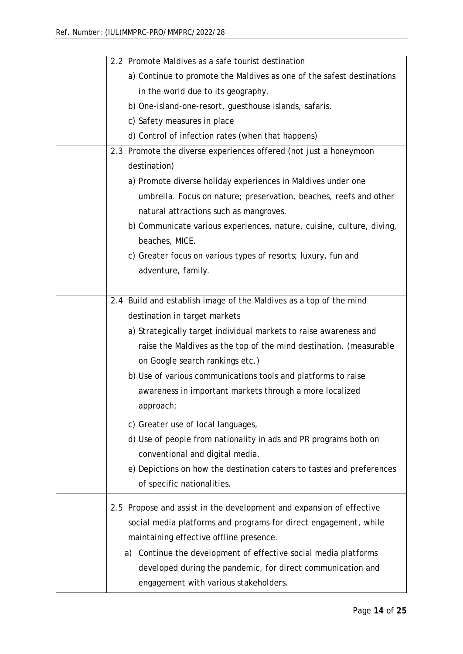| 2.2 Promote Maldives as a safe tourist destination                    |
|-----------------------------------------------------------------------|
| a) Continue to promote the Maldives as one of the safest destinations |
| in the world due to its geography.                                    |
| b) One-island-one-resort, guesthouse islands, safaris.                |
| c) Safety measures in place                                           |
| d) Control of infection rates (when that happens)                     |
| 2.3 Promote the diverse experiences offered (not just a honeymoon     |
| destination)                                                          |
| a) Promote diverse holiday experiences in Maldives under one          |
| umbrella. Focus on nature; preservation, beaches, reefs and other     |
| natural attractions such as mangroves.                                |
| b) Communicate various experiences, nature, cuisine, culture, diving, |
| beaches, MICE.                                                        |
| c) Greater focus on various types of resorts; luxury, fun and         |
| adventure, family.                                                    |
|                                                                       |
| 2.4 Build and establish image of the Maldives as a top of the mind    |
| destination in target markets                                         |
| a) Strategically target individual markets to raise awareness and     |
| raise the Maldives as the top of the mind destination. (measurable    |
| on Google search rankings etc.)                                       |
| b) Use of various communications tools and platforms to raise         |
| awareness in important markets through a more localized               |
| approach;                                                             |
| c) Greater use of local languages,                                    |
| d) Use of people from nationality in ads and PR programs both on      |
| conventional and digital media.                                       |
| e) Depictions on how the destination caters to tastes and preferences |
| of specific nationalities.                                            |
|                                                                       |
| 2.5 Propose and assist in the development and expansion of effective  |
| social media platforms and programs for direct engagement, while      |
| maintaining effective offline presence.                               |
| a) Continue the development of effective social media platforms       |
| developed during the pandemic, for direct communication and           |
| engagement with various stakeholders.                                 |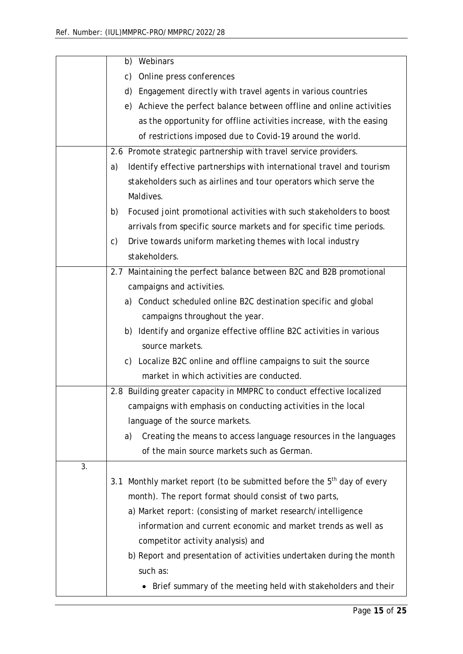|    | Webinars<br>b)                                                              |
|----|-----------------------------------------------------------------------------|
|    | Online press conferences<br>c)                                              |
|    | Engagement directly with travel agents in various countries<br>d)           |
|    | e) Achieve the perfect balance between offline and online activities        |
|    | as the opportunity for offline activities increase, with the easing         |
|    | of restrictions imposed due to Covid-19 around the world.                   |
|    | 2.6 Promote strategic partnership with travel service providers.            |
|    | Identify effective partnerships with international travel and tourism<br>a) |
|    | stakeholders such as airlines and tour operators which serve the            |
|    | Maldives.                                                                   |
|    | Focused joint promotional activities with such stakeholders to boost<br>b)  |
|    | arrivals from specific source markets and for specific time periods.        |
|    | Drive towards uniform marketing themes with local industry<br>C)            |
|    | stakeholders.                                                               |
|    | 2.7 Maintaining the perfect balance between B2C and B2B promotional         |
|    | campaigns and activities.                                                   |
|    | a) Conduct scheduled online B2C destination specific and global             |
|    | campaigns throughout the year.                                              |
|    | b) Identify and organize effective offline B2C activities in various        |
|    | source markets.                                                             |
|    | c) Localize B2C online and offline campaigns to suit the source             |
|    | market in which activities are conducted.                                   |
|    | 2.8 Building greater capacity in MMPRC to conduct effective localized       |
|    | campaigns with emphasis on conducting activities in the local               |
|    | language of the source markets.                                             |
|    | Creating the means to access language resources in the languages<br>a)      |
|    | of the main source markets such as German.                                  |
| 3. |                                                                             |
|    | 3.1 Monthly market report (to be submitted before the $5th$ day of every    |
|    | month). The report format should consist of two parts,                      |
|    | a) Market report: (consisting of market research/intelligence               |
|    | information and current economic and market trends as well as               |
|    | competitor activity analysis) and                                           |
|    | b) Report and presentation of activities undertaken during the month        |
|    | such as:                                                                    |
|    | Brief summary of the meeting held with stakeholders and their               |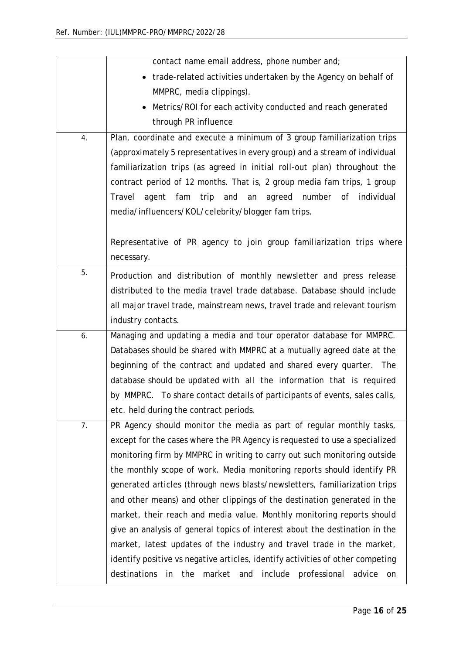|    | contact name email address, phone number and;                                         |
|----|---------------------------------------------------------------------------------------|
|    | • trade-related activities undertaken by the Agency on behalf of                      |
|    | MMPRC, media clippings).                                                              |
|    | Metrics/ROI for each activity conducted and reach generated                           |
|    | through PR influence                                                                  |
| 4. | Plan, coordinate and execute a minimum of 3 group familiarization trips               |
|    | (approximately 5 representatives in every group) and a stream of individual           |
|    | familiarization trips (as agreed in initial roll-out plan) throughout the             |
|    | contract period of 12 months. That is, 2 group media fam trips, 1 group               |
|    | and<br>number of<br>Travel<br>agent<br>fam<br>trip<br>agreed<br>individual<br>an      |
|    | media/influencers/KOL/celebrity/blogger fam trips.                                    |
|    |                                                                                       |
|    | Representative of PR agency to join group familiarization trips where                 |
|    | necessary.                                                                            |
| 5. | Production and distribution of monthly newsletter and press release                   |
|    | distributed to the media travel trade database. Database should include               |
|    | all major travel trade, mainstream news, travel trade and relevant tourism            |
|    | industry contacts.                                                                    |
| 6. | Managing and updating a media and tour operator database for MMPRC.                   |
|    | Databases should be shared with MMPRC at a mutually agreed date at the                |
|    | beginning of the contract and updated and shared every quarter. The                   |
|    | database should be updated with all the information that is required                  |
|    | by MMPRC. To share contact details of participants of events, sales calls,            |
|    | etc. held during the contract periods.                                                |
| 7. | PR Agency should monitor the media as part of regular monthly tasks,                  |
|    | except for the cases where the PR Agency is requested to use a specialized            |
|    | monitoring firm by MMPRC in writing to carry out such monitoring outside              |
|    | the monthly scope of work. Media monitoring reports should identify PR                |
|    | generated articles (through news blasts/newsletters, familiarization trips            |
|    | and other means) and other clippings of the destination generated in the              |
|    | market, their reach and media value. Monthly monitoring reports should                |
|    | give an analysis of general topics of interest about the destination in the           |
|    | market, latest updates of the industry and travel trade in the market,                |
|    | identify positive vs negative articles, identify activities of other competing        |
|    | destinations<br>include<br>professional<br>the<br>market<br>and<br>advice<br>in<br>on |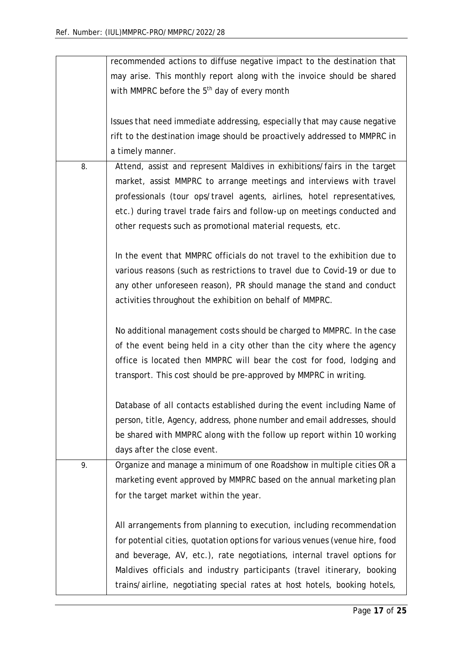|    | recommended actions to diffuse negative impact to the destination that       |
|----|------------------------------------------------------------------------------|
|    | may arise. This monthly report along with the invoice should be shared       |
|    | with MMPRC before the 5 <sup>th</sup> day of every month                     |
|    |                                                                              |
|    | Issues that need immediate addressing, especially that may cause negative    |
|    | rift to the destination image should be proactively addressed to MMPRC in    |
|    | a timely manner.                                                             |
| 8. | Attend, assist and represent Maldives in exhibitions/fairs in the target     |
|    |                                                                              |
|    | market, assist MMPRC to arrange meetings and interviews with travel          |
|    | professionals (tour ops/travel agents, airlines, hotel representatives,      |
|    | etc.) during travel trade fairs and follow-up on meetings conducted and      |
|    | other requests such as promotional material requests, etc.                   |
|    |                                                                              |
|    | In the event that MMPRC officials do not travel to the exhibition due to     |
|    | various reasons (such as restrictions to travel due to Covid-19 or due to    |
|    | any other unforeseen reason), PR should manage the stand and conduct         |
|    | activities throughout the exhibition on behalf of MMPRC.                     |
|    |                                                                              |
|    | No additional management costs should be charged to MMPRC. In the case       |
|    | of the event being held in a city other than the city where the agency       |
|    | office is located then MMPRC will bear the cost for food, lodging and        |
|    | transport. This cost should be pre-approved by MMPRC in writing.             |
|    |                                                                              |
|    | Database of all contacts established during the event including Name of      |
|    | person, title, Agency, address, phone number and email addresses, should     |
|    | be shared with MMPRC along with the follow up report within 10 working       |
|    | days after the close event.                                                  |
| 9. | Organize and manage a minimum of one Roadshow in multiple cities OR a        |
|    | marketing event approved by MMPRC based on the annual marketing plan         |
|    |                                                                              |
|    | for the target market within the year.                                       |
|    |                                                                              |
|    | All arrangements from planning to execution, including recommendation        |
|    | for potential cities, quotation options for various venues (venue hire, food |
|    | and beverage, AV, etc.), rate negotiations, internal travel options for      |
|    | Maldives officials and industry participants (travel itinerary, booking      |
|    | trains/airline, negotiating special rates at host hotels, booking hotels,    |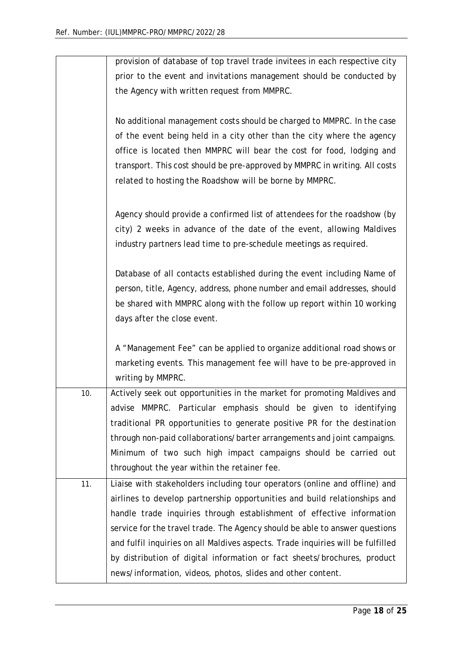|     | provision of database of top travel trade invitees in each respective city      |
|-----|---------------------------------------------------------------------------------|
|     | prior to the event and invitations management should be conducted by            |
|     | the Agency with written request from MMPRC.                                     |
|     |                                                                                 |
|     | No additional management costs should be charged to MMPRC. In the case          |
|     | of the event being held in a city other than the city where the agency          |
|     | office is located then MMPRC will bear the cost for food, lodging and           |
|     | transport. This cost should be pre-approved by MMPRC in writing. All costs      |
|     | related to hosting the Roadshow will be borne by MMPRC.                         |
|     |                                                                                 |
|     | Agency should provide a confirmed list of attendees for the roadshow (by        |
|     | city) 2 weeks in advance of the date of the event, allowing Maldives            |
|     | industry partners lead time to pre-schedule meetings as required.               |
|     | Database of all contacts established during the event including Name of         |
|     | person, title, Agency, address, phone number and email addresses, should        |
|     | be shared with MMPRC along with the follow up report within 10 working          |
|     | days after the close event.                                                     |
|     |                                                                                 |
|     | A "Management Fee" can be applied to organize additional road shows or          |
|     | marketing events. This management fee will have to be pre-approved in           |
|     | writing by MMPRC.                                                               |
| 10. | Actively seek out opportunities in the market for promoting Maldives and        |
|     | advise MMPRC. Particular emphasis should be given to identifying                |
|     | traditional PR opportunities to generate positive PR for the destination        |
|     | through non-paid collaborations/barter arrangements and joint campaigns.        |
|     | Minimum of two such high impact campaigns should be carried out                 |
|     | throughout the year within the retainer fee.                                    |
| 11. | Liaise with stakeholders including tour operators (online and offline) and      |
|     | airlines to develop partnership opportunities and build relationships and       |
|     | handle trade inquiries through establishment of effective information           |
|     | service for the travel trade. The Agency should be able to answer questions     |
|     | and fulfil inquiries on all Maldives aspects. Trade inquiries will be fulfilled |
|     | by distribution of digital information or fact sheets/brochures, product        |
|     | news/information, videos, photos, slides and other content.                     |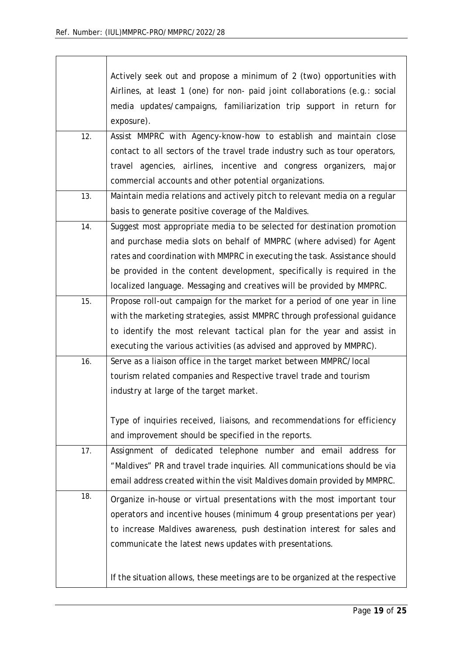|     | Actively seek out and propose a minimum of 2 (two) opportunities with<br>Airlines, at least 1 (one) for non- paid joint collaborations (e.g.: social<br>media updates/campaigns, familiarization trip support in return for<br>exposure).                                                                                                                                           |
|-----|-------------------------------------------------------------------------------------------------------------------------------------------------------------------------------------------------------------------------------------------------------------------------------------------------------------------------------------------------------------------------------------|
| 12. | Assist MMPRC with Agency-know-how to establish and maintain close<br>contact to all sectors of the travel trade industry such as tour operators,<br>travel agencies, airlines, incentive and congress organizers, major<br>commercial accounts and other potential organizations.                                                                                                   |
| 13. | Maintain media relations and actively pitch to relevant media on a regular<br>basis to generate positive coverage of the Maldives.                                                                                                                                                                                                                                                  |
| 14. | Suggest most appropriate media to be selected for destination promotion<br>and purchase media slots on behalf of MMPRC (where advised) for Agent<br>rates and coordination with MMPRC in executing the task. Assistance should<br>be provided in the content development, specifically is required in the<br>localized language. Messaging and creatives will be provided by MMPRC. |
| 15. | Propose roll-out campaign for the market for a period of one year in line<br>with the marketing strategies, assist MMPRC through professional guidance<br>to identify the most relevant tactical plan for the year and assist in<br>executing the various activities (as advised and approved by MMPRC).                                                                            |
| 16. | Serve as a liaison office in the target market between MMPRC/local<br>tourism related companies and Respective travel trade and tourism<br>industry at large of the target market.<br>Type of inquiries received, liaisons, and recommendations for efficiency<br>and improvement should be specified in the reports.                                                               |
| 17. | Assignment of dedicated telephone number and email address for<br>"Maldives" PR and travel trade inquiries. All communications should be via<br>email address created within the visit Maldives domain provided by MMPRC.                                                                                                                                                           |
| 18. | Organize in-house or virtual presentations with the most important tour<br>operators and incentive houses (minimum 4 group presentations per year)<br>to increase Maldives awareness, push destination interest for sales and<br>communicate the latest news updates with presentations.                                                                                            |
|     | If the situation allows, these meetings are to be organized at the respective                                                                                                                                                                                                                                                                                                       |

٦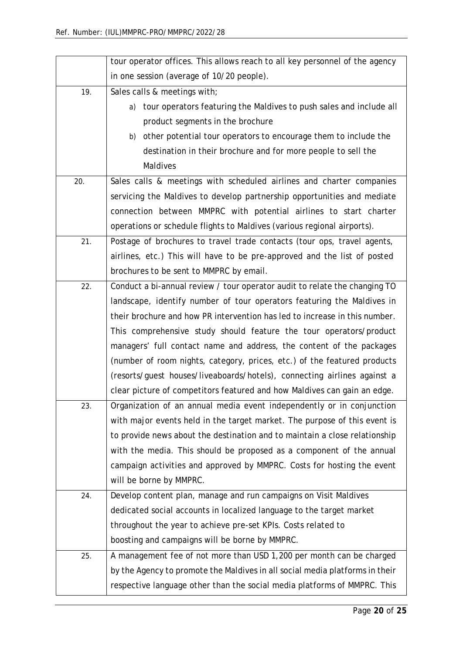|     | tour operator offices. This allows reach to all key personnel of the agency  |  |  |  |
|-----|------------------------------------------------------------------------------|--|--|--|
|     | in one session (average of 10/20 people).                                    |  |  |  |
| 19. | Sales calls & meetings with;                                                 |  |  |  |
|     | tour operators featuring the Maldives to push sales and include all<br>a)    |  |  |  |
|     | product segments in the brochure                                             |  |  |  |
|     | other potential tour operators to encourage them to include the<br>b)        |  |  |  |
|     | destination in their brochure and for more people to sell the                |  |  |  |
|     | <b>Maldives</b>                                                              |  |  |  |
| 20. | Sales calls & meetings with scheduled airlines and charter companies         |  |  |  |
|     | servicing the Maldives to develop partnership opportunities and mediate      |  |  |  |
|     | connection between MMPRC with potential airlines to start charter            |  |  |  |
|     | operations or schedule flights to Maldives (various regional airports).      |  |  |  |
| 21. | Postage of brochures to travel trade contacts (tour ops, travel agents,      |  |  |  |
|     | airlines, etc.) This will have to be pre-approved and the list of posted     |  |  |  |
|     | brochures to be sent to MMPRC by email.                                      |  |  |  |
| 22. | Conduct a bi-annual review / tour operator audit to relate the changing TO   |  |  |  |
|     | landscape, identify number of tour operators featuring the Maldives in       |  |  |  |
|     | their brochure and how PR intervention has led to increase in this number.   |  |  |  |
|     | This comprehensive study should feature the tour operators/product           |  |  |  |
|     | managers' full contact name and address, the content of the packages         |  |  |  |
|     | (number of room nights, category, prices, etc.) of the featured products     |  |  |  |
|     | (resorts/guest houses/liveaboards/hotels), connecting airlines against a     |  |  |  |
|     | clear picture of competitors featured and how Maldives can gain an edge.     |  |  |  |
| 23. | Organization of an annual media event independently or in conjunction        |  |  |  |
|     | with major events held in the target market. The purpose of this event is    |  |  |  |
|     | to provide news about the destination and to maintain a close relationship   |  |  |  |
|     | with the media. This should be proposed as a component of the annual         |  |  |  |
|     | campaign activities and approved by MMPRC. Costs for hosting the event       |  |  |  |
|     | will be borne by MMPRC.                                                      |  |  |  |
| 24. | Develop content plan, manage and run campaigns on Visit Maldives             |  |  |  |
|     | dedicated social accounts in localized language to the target market         |  |  |  |
|     | throughout the year to achieve pre-set KPIs. Costs related to                |  |  |  |
|     | boosting and campaigns will be borne by MMPRC.                               |  |  |  |
| 25. | A management fee of not more than USD 1,200 per month can be charged         |  |  |  |
|     | by the Agency to promote the Maldives in all social media platforms in their |  |  |  |
|     | respective language other than the social media platforms of MMPRC. This     |  |  |  |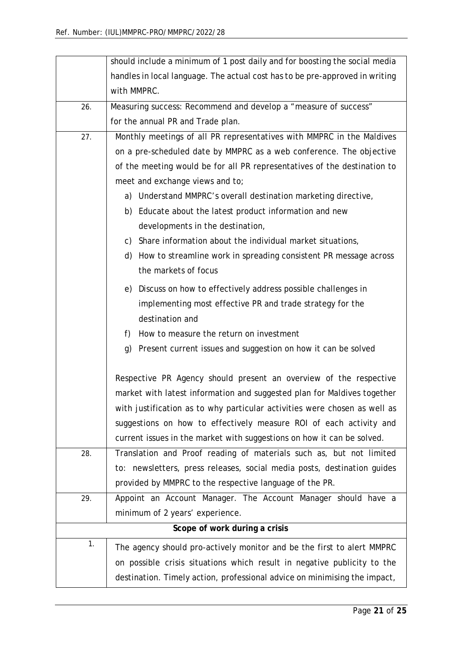|                                                         | should include a minimum of 1 post daily and for boosting the social media   |  |  |  |  |  |  |
|---------------------------------------------------------|------------------------------------------------------------------------------|--|--|--|--|--|--|
|                                                         | handles in local language. The actual cost has to be pre-approved in writing |  |  |  |  |  |  |
|                                                         | with MMPRC.                                                                  |  |  |  |  |  |  |
| 26.                                                     | Measuring success: Recommend and develop a "measure of success"              |  |  |  |  |  |  |
|                                                         | for the annual PR and Trade plan.                                            |  |  |  |  |  |  |
| 27.                                                     | Monthly meetings of all PR representatives with MMPRC in the Maldives        |  |  |  |  |  |  |
|                                                         | on a pre-scheduled date by MMPRC as a web conference. The objective          |  |  |  |  |  |  |
|                                                         | of the meeting would be for all PR representatives of the destination to     |  |  |  |  |  |  |
|                                                         | meet and exchange views and to;                                              |  |  |  |  |  |  |
|                                                         | a) Understand MMPRC's overall destination marketing directive,               |  |  |  |  |  |  |
| b) Educate about the latest product information and new |                                                                              |  |  |  |  |  |  |
|                                                         | developments in the destination,                                             |  |  |  |  |  |  |
|                                                         | c) Share information about the individual market situations,                 |  |  |  |  |  |  |
|                                                         | d) How to streamline work in spreading consistent PR message across          |  |  |  |  |  |  |
|                                                         | the markets of focus                                                         |  |  |  |  |  |  |
|                                                         | e) Discuss on how to effectively address possible challenges in              |  |  |  |  |  |  |
|                                                         | implementing most effective PR and trade strategy for the                    |  |  |  |  |  |  |
|                                                         | destination and                                                              |  |  |  |  |  |  |
|                                                         | How to measure the return on investment<br>f)                                |  |  |  |  |  |  |
|                                                         | g) Present current issues and suggestion on how it can be solved             |  |  |  |  |  |  |
|                                                         |                                                                              |  |  |  |  |  |  |
|                                                         | Respective PR Agency should present an overview of the respective            |  |  |  |  |  |  |
|                                                         | market with latest information and suggested plan for Maldives together      |  |  |  |  |  |  |
|                                                         | with justification as to why particular activities were chosen as well as    |  |  |  |  |  |  |
|                                                         | suggestions on how to effectively measure ROI of each activity and           |  |  |  |  |  |  |
|                                                         | current issues in the market with suggestions on how it can be solved.       |  |  |  |  |  |  |
| 28.                                                     | Translation and Proof reading of materials such as, but not limited          |  |  |  |  |  |  |
|                                                         | to: newsletters, press releases, social media posts, destination guides      |  |  |  |  |  |  |
|                                                         | provided by MMPRC to the respective language of the PR.                      |  |  |  |  |  |  |
| 29.                                                     | Appoint an Account Manager. The Account Manager should have a                |  |  |  |  |  |  |
|                                                         | minimum of 2 years' experience.                                              |  |  |  |  |  |  |
|                                                         | Scope of work during a crisis                                                |  |  |  |  |  |  |
| 1.                                                      | The agency should pro-actively monitor and be the first to alert MMPRC       |  |  |  |  |  |  |
|                                                         | on possible crisis situations which result in negative publicity to the      |  |  |  |  |  |  |
|                                                         | destination. Timely action, professional advice on minimising the impact,    |  |  |  |  |  |  |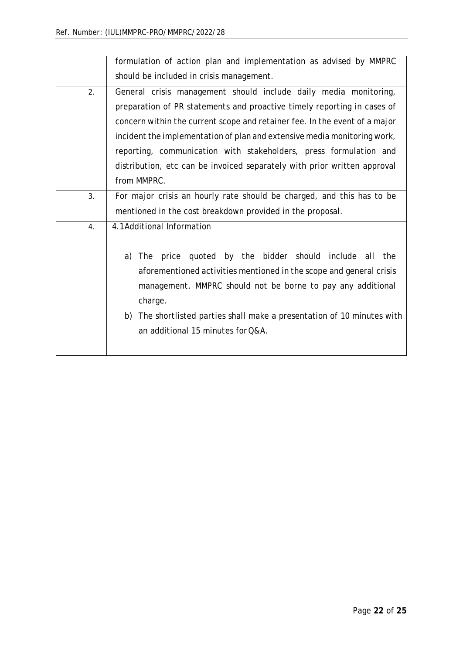|    | formulation of action plan and implementation as advised by MMPRC          |
|----|----------------------------------------------------------------------------|
|    | should be included in crisis management.                                   |
| 2. | General crisis management should include daily media monitoring,           |
|    | preparation of PR statements and proactive timely reporting in cases of    |
|    | concern within the current scope and retainer fee. In the event of a major |
|    | incident the implementation of plan and extensive media monitoring work,   |
|    | reporting, communication with stakeholders, press formulation and          |
|    | distribution, etc can be invoiced separately with prior written approval   |
|    | from MMPRC.                                                                |
| 3. | For major crisis an hourly rate should be charged, and this has to be      |
|    | mentioned in the cost breakdown provided in the proposal.                  |
| 4. | 4.1Additional Information                                                  |
|    |                                                                            |
|    | quoted by the bidder should include all<br>a)<br>price<br>the<br>The       |
|    | aforementioned activities mentioned in the scope and general crisis        |
|    | management. MMPRC should not be borne to pay any additional                |
|    | charge.                                                                    |
|    | b) The shortlisted parties shall make a presentation of 10 minutes with    |
|    | an additional 15 minutes for Q&A.                                          |
|    |                                                                            |
|    |                                                                            |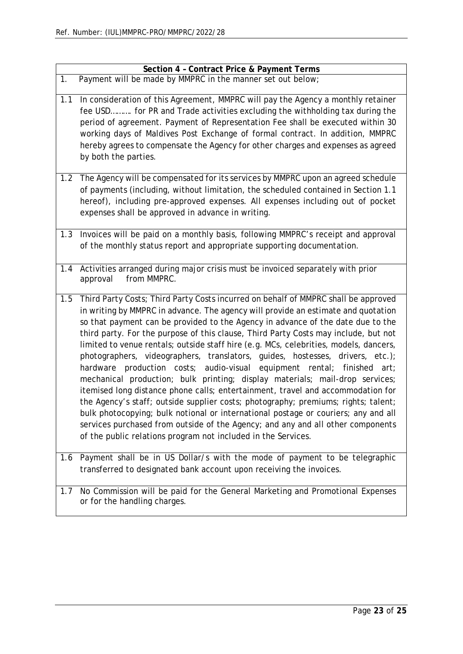|     | Section 4 - Contract Price & Payment Terms                                                                                                                                                                                                                                                                                                                                                                                                                                                                                                                                                                                                                                                                                                                                                                                                                                                                                                                                                                                                                                                                   |
|-----|--------------------------------------------------------------------------------------------------------------------------------------------------------------------------------------------------------------------------------------------------------------------------------------------------------------------------------------------------------------------------------------------------------------------------------------------------------------------------------------------------------------------------------------------------------------------------------------------------------------------------------------------------------------------------------------------------------------------------------------------------------------------------------------------------------------------------------------------------------------------------------------------------------------------------------------------------------------------------------------------------------------------------------------------------------------------------------------------------------------|
| 1.  | Payment will be made by MMPRC in the manner set out below;                                                                                                                                                                                                                                                                                                                                                                                                                                                                                                                                                                                                                                                                                                                                                                                                                                                                                                                                                                                                                                                   |
| 1.1 | In consideration of this Agreement, MMPRC will pay the Agency a monthly retainer<br>fee USD for PR and Trade activities excluding the withholding tax during the<br>period of agreement. Payment of Representation Fee shall be executed within 30<br>working days of Maldives Post Exchange of formal contract. In addition, MMPRC<br>hereby agrees to compensate the Agency for other charges and expenses as agreed<br>by both the parties.                                                                                                                                                                                                                                                                                                                                                                                                                                                                                                                                                                                                                                                               |
| 1.2 | The Agency will be compensated for its services by MMPRC upon an agreed schedule<br>of payments (including, without limitation, the scheduled contained in Section 1.1<br>hereof), including pre-approved expenses. All expenses including out of pocket<br>expenses shall be approved in advance in writing.                                                                                                                                                                                                                                                                                                                                                                                                                                                                                                                                                                                                                                                                                                                                                                                                |
| 1.3 | Invoices will be paid on a monthly basis, following MMPRC's receipt and approval<br>of the monthly status report and appropriate supporting documentation.                                                                                                                                                                                                                                                                                                                                                                                                                                                                                                                                                                                                                                                                                                                                                                                                                                                                                                                                                   |
| 1.4 | Activities arranged during major crisis must be invoiced separately with prior<br>from MMPRC.<br>approval                                                                                                                                                                                                                                                                                                                                                                                                                                                                                                                                                                                                                                                                                                                                                                                                                                                                                                                                                                                                    |
| 1.5 | Third Party Costs; Third Party Costs incurred on behalf of MMPRC shall be approved<br>in writing by MMPRC in advance. The agency will provide an estimate and quotation<br>so that payment can be provided to the Agency in advance of the date due to the<br>third party. For the purpose of this clause, Third Party Costs may include, but not<br>limited to venue rentals; outside staff hire (e.g. MCs, celebrities, models, dancers,<br>photographers, videographers, translators, guides, hostesses, drivers, etc.);<br>hardware production costs; audio-visual equipment rental; finished<br>art:<br>mechanical production; bulk printing; display materials; mail-drop services;<br>itemised long distance phone calls; entertainment, travel and accommodation for<br>the Agency's staff; outside supplier costs; photography; premiums; rights; talent;<br>bulk photocopying; bulk notional or international postage or couriers; any and all<br>services purchased from outside of the Agency; and any and all other components<br>of the public relations program not included in the Services. |
| 1.6 | Payment shall be in US Dollar/s with the mode of payment to be telegraphic<br>transferred to designated bank account upon receiving the invoices.                                                                                                                                                                                                                                                                                                                                                                                                                                                                                                                                                                                                                                                                                                                                                                                                                                                                                                                                                            |
| 1.7 | No Commission will be paid for the General Marketing and Promotional Expenses<br>or for the handling charges.                                                                                                                                                                                                                                                                                                                                                                                                                                                                                                                                                                                                                                                                                                                                                                                                                                                                                                                                                                                                |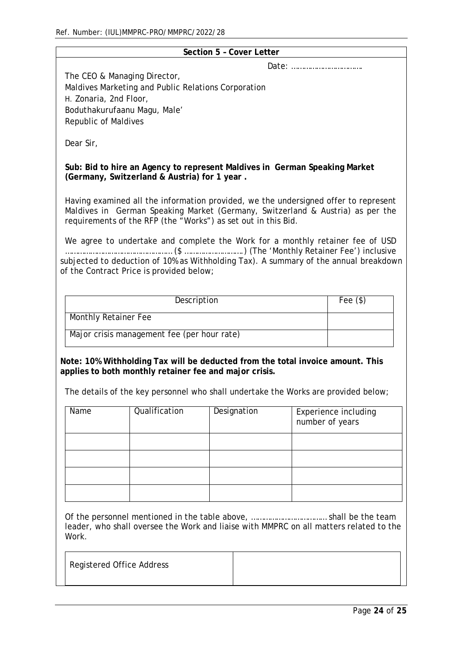|                                                                                    |                                                                                                                                                                                                                                        |  | Section 5 - Cover Letter |  |                                                |
|------------------------------------------------------------------------------------|----------------------------------------------------------------------------------------------------------------------------------------------------------------------------------------------------------------------------------------|--|--------------------------|--|------------------------------------------------|
| The CEO & Managing Director,                                                       |                                                                                                                                                                                                                                        |  |                          |  |                                                |
|                                                                                    | Maldives Marketing and Public Relations Corporation                                                                                                                                                                                    |  |                          |  |                                                |
| H. Zonaria, 2nd Floor,                                                             |                                                                                                                                                                                                                                        |  |                          |  |                                                |
| Boduthakurufaanu Magu, Male'                                                       |                                                                                                                                                                                                                                        |  |                          |  |                                                |
| <b>Republic of Maldives</b>                                                        |                                                                                                                                                                                                                                        |  |                          |  |                                                |
| Dear Sir,                                                                          |                                                                                                                                                                                                                                        |  |                          |  |                                                |
|                                                                                    | Sub: Bid to hire an Agency to represent Maldives in German Speaking Market<br>(Germany, Switzerland & Austria) for 1 year.                                                                                                             |  |                          |  |                                                |
|                                                                                    | Having examined all the information provided, we the undersigned offer to represent<br>Maldives in German Speaking Market (Germany, Switzerland & Austria) as per the<br>requirements of the RFP (the "Works") as set out in this Bid. |  |                          |  |                                                |
|                                                                                    |                                                                                                                                                                                                                                        |  |                          |  |                                                |
|                                                                                    | We agree to undertake and complete the Work for a monthly retainer fee of USD                                                                                                                                                          |  |                          |  |                                                |
|                                                                                    | subjected to deduction of 10% as Withholding Tax). A summary of the annual breakdown                                                                                                                                                   |  |                          |  |                                                |
|                                                                                    | of the Contract Price is provided below;                                                                                                                                                                                               |  |                          |  |                                                |
|                                                                                    |                                                                                                                                                                                                                                        |  |                          |  |                                                |
|                                                                                    | Description                                                                                                                                                                                                                            |  |                          |  | Fee $(\$)$                                     |
|                                                                                    |                                                                                                                                                                                                                                        |  |                          |  |                                                |
| <b>Monthly Retainer Fee</b>                                                        |                                                                                                                                                                                                                                        |  |                          |  |                                                |
|                                                                                    | Major crisis management fee (per hour rate)                                                                                                                                                                                            |  |                          |  |                                                |
|                                                                                    |                                                                                                                                                                                                                                        |  |                          |  |                                                |
|                                                                                    | Note: 10% Withholding Tax will be deducted from the total invoice amount. This                                                                                                                                                         |  |                          |  |                                                |
|                                                                                    | applies to both monthly retainer fee and major crisis.                                                                                                                                                                                 |  |                          |  |                                                |
| The details of the key personnel who shall undertake the Works are provided below; |                                                                                                                                                                                                                                        |  |                          |  |                                                |
| Name                                                                               | Qualification                                                                                                                                                                                                                          |  | Designation              |  | <b>Experience including</b><br>number of years |
|                                                                                    |                                                                                                                                                                                                                                        |  |                          |  |                                                |
|                                                                                    |                                                                                                                                                                                                                                        |  |                          |  |                                                |
|                                                                                    |                                                                                                                                                                                                                                        |  |                          |  |                                                |
|                                                                                    |                                                                                                                                                                                                                                        |  |                          |  |                                                |
|                                                                                    |                                                                                                                                                                                                                                        |  |                          |  |                                                |
|                                                                                    |                                                                                                                                                                                                                                        |  |                          |  |                                                |
| Work.                                                                              | leader, who shall oversee the Work and liaise with MMPRC on all matters related to the                                                                                                                                                 |  |                          |  |                                                |
| <b>Registered Office Address</b>                                                   |                                                                                                                                                                                                                                        |  |                          |  |                                                |